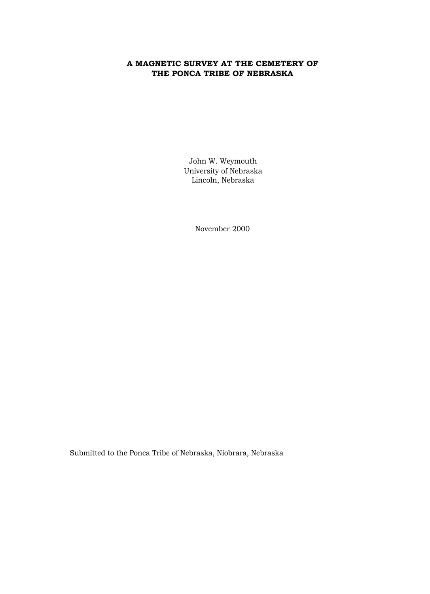# **A MAGNETIC SURVEY AT THE CEMETERY OF THE PONCA TRIBE OF NEBRASKA**

John W. Weymouth University of Nebraska Lincoln, Nebraska

November 2000

Submitted to the Ponca Tribe of Nebraska, Niobrara, Nebraska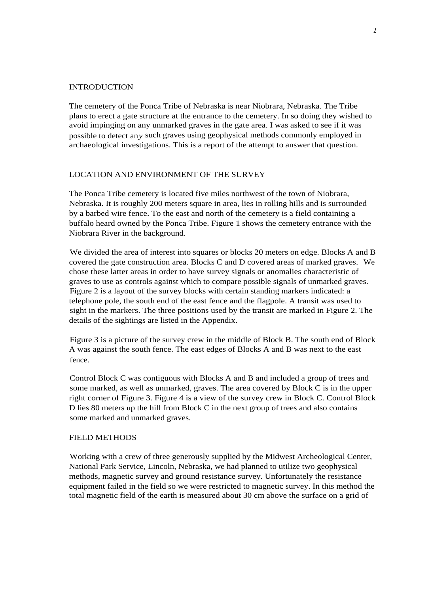#### **INTRODUCTION**

The cemetery of the Ponca Tribe of Nebraska is near Niobrara, Nebraska. The Tribe plans to erect a gate structure at the entrance to the cemetery. In so doing they wished to avoid impinging on any unmarked graves in the gate area. I was asked to see if it was possible to detect an*y* such graves using geophysical methods commonly employed in archaeological investigations. This is a report of the attempt to answer that question.

#### LOCATION AND ENVIRONMENT OF THE SURVEY

The Ponca Tribe cemetery is located five miles northwest of the town of Niobrara, Nebraska. It is roughly 200 meters square in area, lies in rolling hills and is surrounded by a barbed wire fence. To the east and north of the cemetery is a field containing a buffalo heard owned by the Ponca Tribe. Figure 1 shows the cemetery entrance with the Niobrara River in the background.

We divided the area of interest into squares or blocks 20 meters on edge. Blocks A and B covered the gate construction area. Blocks C and D covered areas of marked graves. We chose these latter areas in order to have survey signals or anomalies characteristic of graves to use as controls against which to compare possible signals of unmarked graves. Figure 2 is a layout of the survey blocks with certain standing markers indicated: a telephone pole, the south end of the east fence and the flagpole. A transit was used to sight in the markers. The three positions used by the transit are marked in Figure 2. The details of the sightings are listed in the Appendix.

Figure 3 is a picture of the survey crew in the middle of Block B. The south end of Block A was against the south fence. The east edges of Blocks A and B was next to the east fence.

Control Block C was contiguous with Blocks A and B and included a group of trees and some marked, as well as unmarked, graves. The area covered by Block C is in the upper right corner of Figure 3. Figure 4 is a view of the survey crew in Block C. Control Block D lies 80 meters up the hill from Block C in the next group of trees and also contains some marked and unmarked graves.

#### FIELD METHODS

Working with a crew of three generously supplied by the Midwest Archeological Center, National Park Service, Lincoln, Nebraska, we had planned to utilize two geophysical methods, magnetic survey and ground resistance survey. Unfortunately the resistance equipment failed in the field so we were restricted to magnetic survey. In this method the total magnetic field of the earth is measured about 30 cm above the surface on a grid of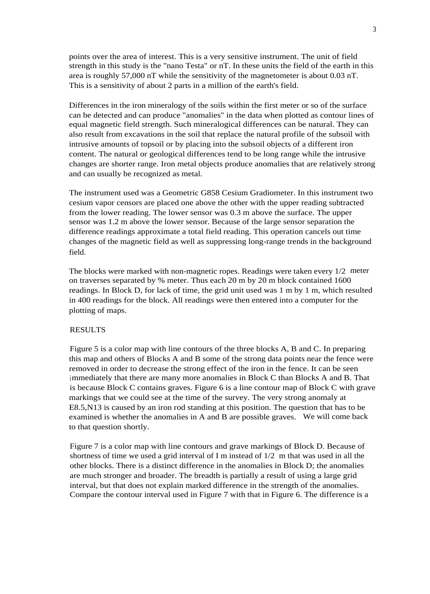points over the area of interest. This is a very sensitive instrument. The unit of field strength in this study is the "nano Testa" or nT. In these units the field of the earth in this area is roughly 57,000 nT while the sensitivity of the magnetometer is about 0.03 nT. This is a sensitivity of about 2 parts in a million of the earth's field.

Differences in the iron mineralogy of the soils within the first meter or so of the surface can be detected and can produce "anomalies" in the data when plotted as contour lines of equal magnetic field strength. Such mineralogical differences can be natural. They can also result from excavations in the soil that replace the natural profile of the subsoil with intrusive amounts of topsoil or by placing into the subsoil objects of a different iron content. The natural or geological differences tend to be long range while the intrusive changes are shorter range. Iron metal objects produce anomalies that are relatively strong and can usually be recognized as metal.

The instrument used was a Geometric G858 Cesium Gradiometer. In this instrument two cesium vapor censors are placed one above the other with the upper reading subtracted from the lower reading. The lower sensor was 0.3 m above the surface. The upper sensor was 1.2 m above the lower sensor. Because of the large sensor separation the difference readings approximate a total field reading. This operation cancels out time changes of the magnetic field as well as suppressing long-range trends in the background field.

The blocks were marked with non-magnetic ropes. Readings were taken every 1/2 meter on traverses separated by % meter. Thus each 20 m by 20 m block contained 1600 readings. In Block D, for lack of time, the grid unit used was 1 m by 1 m, which resulted in 400 readings for the block. All readings were then entered into a computer for the plotting of maps.

### RESULTS

Figure 5 is a color map with line contours of the three blocks A, B and C. In preparing this map and others of Blocks A and B some of the strong data points near the fence were removed in order to decrease the strong effect of the iron in the fence. It can be seen immediately that there are many more anomalies in Block C than Blocks A and B. That is because Block C contains graves. Figure 6 is a line contour map of Block C with grave markings that we could see at the time of the survey. The very strong anomaly at E8.5,N13 is caused by an iron rod standing at this position. The question that has to be examined is whether the anomalies in A and B are possible graves. We will come back to that question shortly.

Figure 7 is a color map with line contours and grave markings of Block D. Because of shortness of time we used a grid interval of I m instead of 1/2 m that was used in all the other blocks. There is a distinct difference in the anomalies in Block D; the anomalies are much stronger and broader. The breadth is partially a result of using a large grid interval, but that does not explain marked difference in the strength of the anomalies. Compare the contour interval used in Figure 7 with that in Figure 6. The difference is a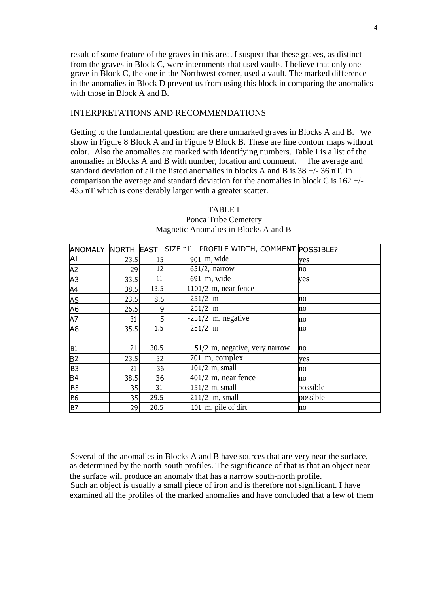result of some feature of the graves in this area. I suspect that these graves, as distinct from the graves in Block C, were internments that used vaults. I believe that only one grave in Block C, the one in the Northwest corner, used a vault. The marked difference in the anomalies in Block D prevent us from using this block in comparing the anomalies with those in Block A and B.

### INTERPRETATIONS AND RECOMMENDATIONS

Getting to the fundamental question: are there unmarked graves in Blocks A and B. We show in Figure 8 Block A and in Figure 9 Block B. These are line contour maps without color. Also the anomalies are marked with identifying numbers. Table I is a list of the anomalies in Blocks A and B with number, location and comment. The average and standard deviation of all the listed anomalies in blocks A and B is 38 +/- 36 nT. In comparison the average and standard deviation for the anomalies in block C is 162 +/- 435 nT which is considerably larger with a greater scatter.

| <b>ANOMALY</b> | NORTH EAST |      | SIZE nT | PROFILE WIDTH, COMMENT POSSIBLE? |          |
|----------------|------------|------|---------|----------------------------------|----------|
| Al             | 23.5       | 15   |         | $901$ m, wide                    | yes      |
| A <sub>2</sub> | 29         | 12   |         | $651/2$ , narrow                 | no       |
| A <sub>3</sub> | 33.5       | 11   |         | $691 \, \text{m}$ , wide         | ves      |
| A4             | 38.5       | 13.5 |         | $1101/2$ m, near fence           |          |
| AS             | 23.5       | 8.5  |         | $251/2$ m                        | no       |
| A <sub>6</sub> | 26.5       | 9    |         | $251/2$ m                        | no       |
| A7             | 31         | 5    |         | $-251/2$ m, negative             | no       |
| A <sub>8</sub> | 35.5       | 1.5  |         | $251/2$ m                        | no       |
|                |            |      |         |                                  |          |
| B <sub>1</sub> | 21         | 30.5 |         | 151/2 m, negative, very narrow   | no       |
| B <sub>2</sub> | 23.5       | 32   |         | 701 m, complex                   | yes      |
| B <sub>3</sub> | 21         | 36   |         | $101/2$ m, small                 | no       |
| B <sup>4</sup> | 38.5       | 36   |         | $401/2$ m, near fence            | no       |
| <b>B5</b>      | 35         | 31   |         | $151/2$ m, small                 | possible |
| <b>B6</b>      | 35         | 29.5 |         | $211/2$ m, small                 | possible |
| B7             | 29         | 20.5 |         | 10 <sup>1</sup> m, pile of dirt  | no       |

## TABLE I Ponca Tribe Cemetery Magnetic Anomalies in Blocks A and B

Several of the anomalies in Blocks A and B have sources that are very near the surface, as determined by the north-south profiles. The significance of that is that an object near the surface will produce an anomaly that has a narrow south-north profile. Such an object is usually a small piece of iron and is therefore not significant. I have examined all the profiles of the marked anomalies and have concluded that a few of them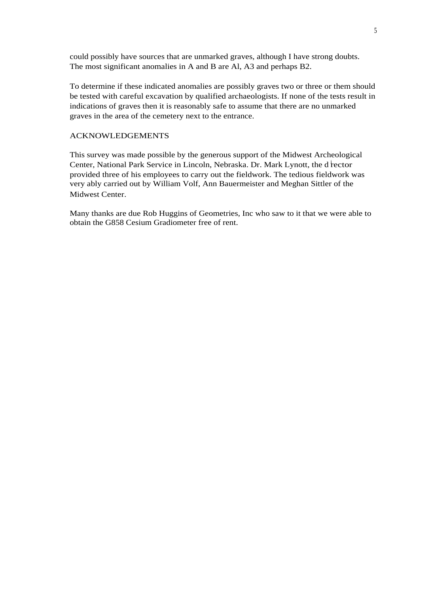could possibly have sources that are unmarked graves, although I have strong doubts. The most significant anomalies in A and B are Al, A3 and perhaps B2.

To determine if these indicated anomalies are possibly graves two or three or them should be tested with careful excavation by qualified archaeologists. If none of the tests result in indications of graves then it is reasonably safe to assume that there are no unmarked graves in the area of the cemetery next to the entrance.

### ACKNOWLEDGEMENTS

This survey was made possible by the generous support of the Midwest Archeological Center, National Park Service in Lincoln, Nebraska. Dr. Mark Lynott, the d<sup>i</sup>rector provided three of his employees to carry out the fieldwork. The tedious fieldwork was very ably carried out by William Volf, Ann Bauermeister and Meghan Sittler of the Midwest Center.

Many thanks are due Rob Huggins of Geometries, Inc who saw to it that we were able to obtain the G858 Cesium Gradiometer free of rent.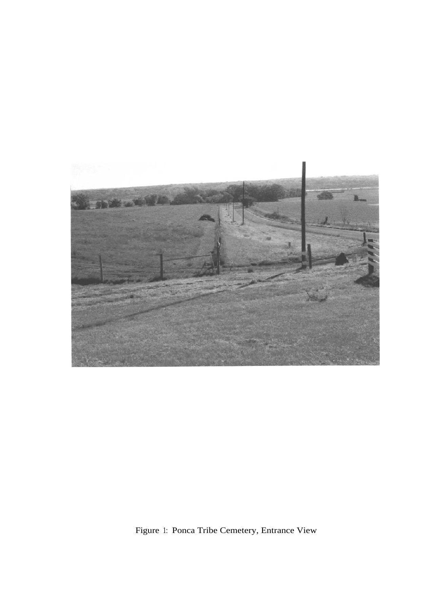

Figure 1: Ponca Tribe Cemetery, Entrance View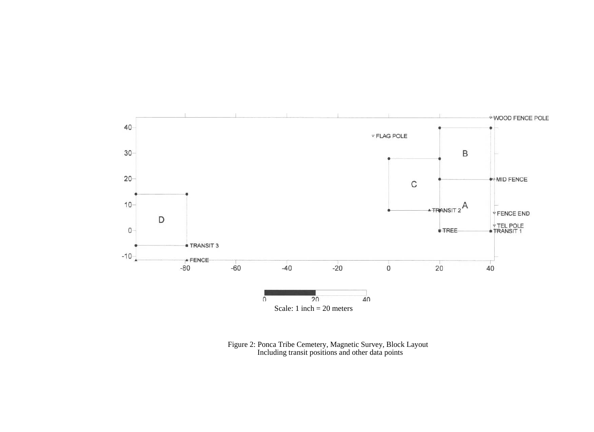

Figure 2: Ponca Tribe Cemetery, Magnetic Survey, Block Layout Including transit positions and other data points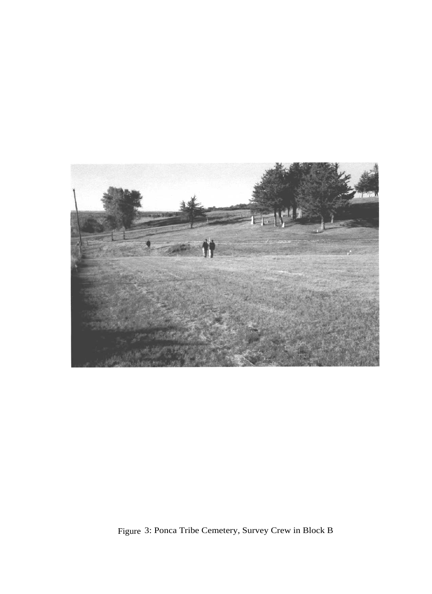

Figure 3: Ponca Tribe Cemetery, Survey Crew in Block B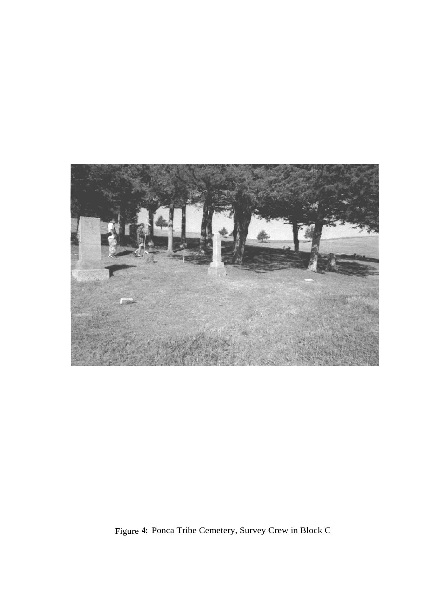

Figure **4:** Ponca Tribe Cemetery, Survey Crew in Block C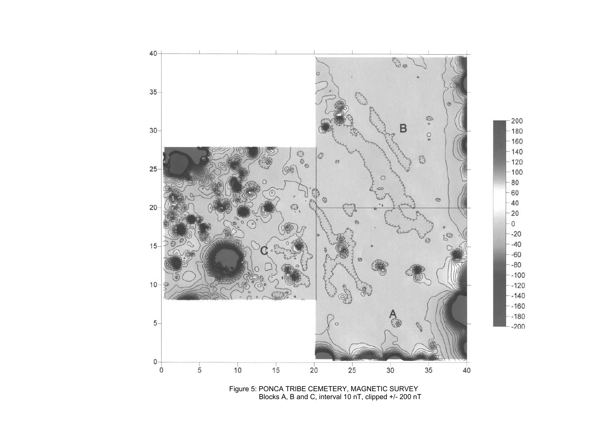

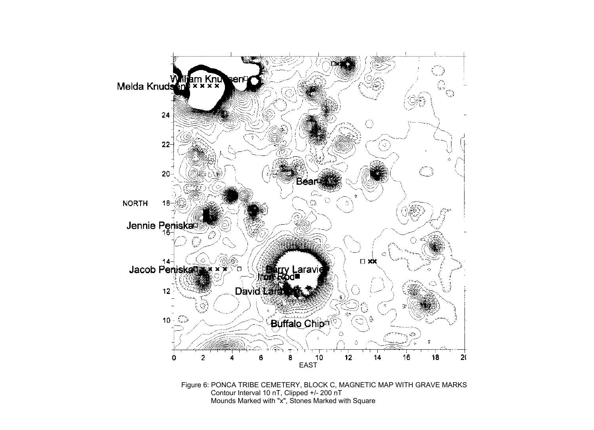

Contour Interval 10 nT, Clipped +/- 200 nT Mounds Marked with "x", Stones Marked with Square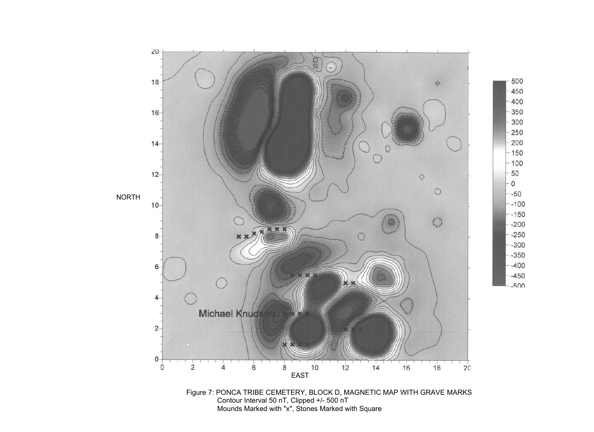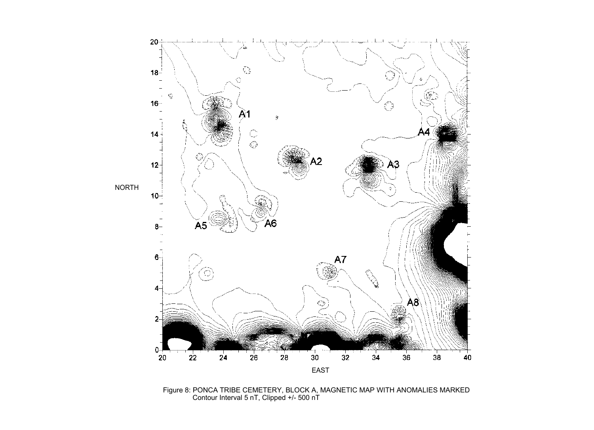

Figure 8: PONCA TRIBE CEMETERY, BLOCK A, MAGNETIC MAP WITH ANOMALIES MARKED Contour Interval 5 nT, Clipped +/- 500 nT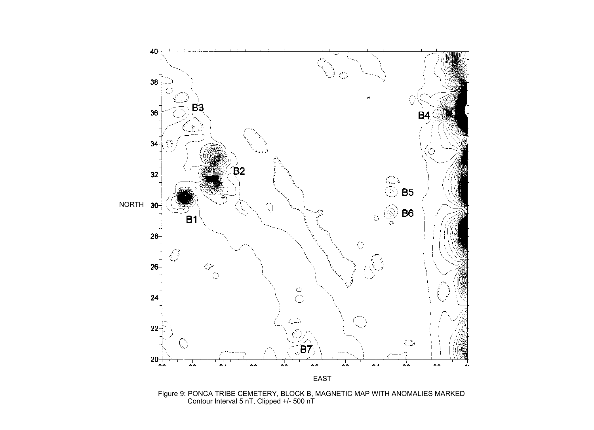

Figure 9: PONCA TRIBE CEMETERY, BLOCK B, MAGNETIC MAP WITH ANOMALIES MARKED Contour Interval 5 nT, Clipped +/- 500 nT